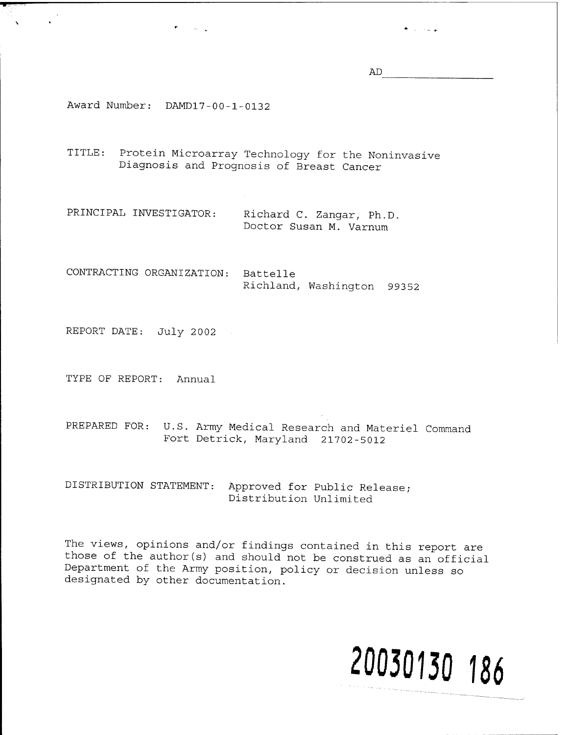AD

ندي بن دي.<br>مواليد ا

Award Number: DAMD17-00-1-0132

TITLE: Protein Microarray Technology for the Noninvasive Diagnosis and Prognosis of Breast Cancer

PRINCIPAL INVESTIGATOR: Richard C. Zangar, Ph.D. Doctor Susan M. Varnum

CONTRACTING ORGANIZATION: Battelle Richland, Washington 99352

REPORT DATE: July 2002

TYPE OF REPORT: Annual

PREPARED FOR: U.S. Army Medical Research and Materiel Command Fort Detrick, Maryland 21702-5012

DISTRIBUTION STATEMENT: Approved for Public Release; Distribution Unlimited

The views, opinions and/or findings contained in this report are those of the author(s) and should not be construed as an official Department of the Army position, policy or decision unless so designated by other documentation.

# **20030130 186**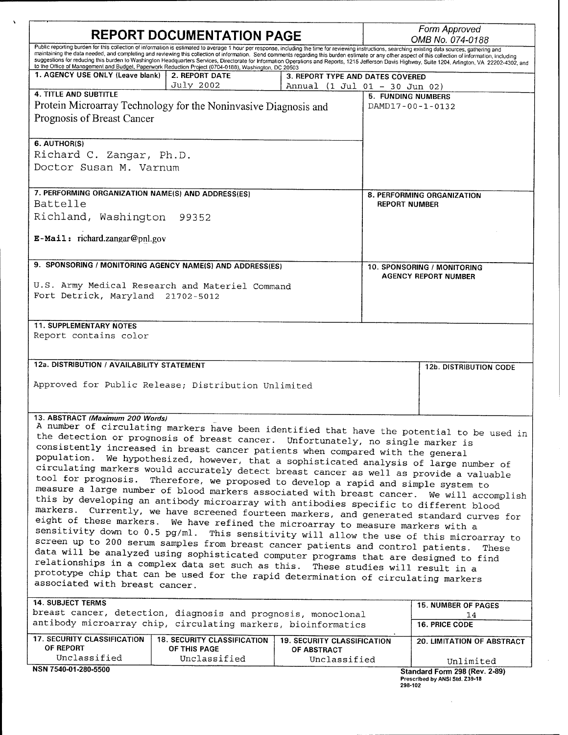| <b>REPORT DOCUMENTATION PAGE</b>                                                                                                                                                   |                                                                                                                                                                                                                                                                                                                                                                                                                                                                                                                                                                                                                                                                                                                                    |                                    | Form Approved<br>OMB No. 074-0188 |                                                                 |  |  |  |
|------------------------------------------------------------------------------------------------------------------------------------------------------------------------------------|------------------------------------------------------------------------------------------------------------------------------------------------------------------------------------------------------------------------------------------------------------------------------------------------------------------------------------------------------------------------------------------------------------------------------------------------------------------------------------------------------------------------------------------------------------------------------------------------------------------------------------------------------------------------------------------------------------------------------------|------------------------------------|-----------------------------------|-----------------------------------------------------------------|--|--|--|
|                                                                                                                                                                                    | Public reporting burden for this collection of information is estimated to average 1 hour per response, including the time for reviewing instructions, searching existing data sources, gathering and<br>maintaining the data needed, and completing and reviewing this collection of information. Send comments regarding this burden estimate or any other aspect of this collection of information, including<br>suggestions for reducing this burden to Washington Headquarters Services, Directorate for Information Operations and Reports, 1215 Jefferson Davis Highway, Suite 1204, Arlington, VA 22202-4302, and<br>to the Office of Management and Budget, Paperwork Reduction Project (0704-0188), Washington, DC 20503 |                                    |                                   |                                                                 |  |  |  |
| 1. AGENCY USE ONLY (Leave blank)                                                                                                                                                   | 2. REPORT DATE                                                                                                                                                                                                                                                                                                                                                                                                                                                                                                                                                                                                                                                                                                                     | 3. REPORT TYPE AND DATES COVERED   |                                   |                                                                 |  |  |  |
| <b>4. TITLE AND SUBTITLE</b>                                                                                                                                                       | July 2002                                                                                                                                                                                                                                                                                                                                                                                                                                                                                                                                                                                                                                                                                                                          | Annual (1 Jul 01 - 30 Jun 02)      |                                   |                                                                 |  |  |  |
|                                                                                                                                                                                    | Protein Microarray Technology for the Noninvasive Diagnosis and                                                                                                                                                                                                                                                                                                                                                                                                                                                                                                                                                                                                                                                                    |                                    | DAMD17-00-1-0132                  | <b>5. FUNDING NUMBERS</b>                                       |  |  |  |
| Prognosis of Breast Cancer                                                                                                                                                         |                                                                                                                                                                                                                                                                                                                                                                                                                                                                                                                                                                                                                                                                                                                                    |                                    |                                   |                                                                 |  |  |  |
|                                                                                                                                                                                    |                                                                                                                                                                                                                                                                                                                                                                                                                                                                                                                                                                                                                                                                                                                                    |                                    |                                   |                                                                 |  |  |  |
| 6. AUTHOR(S)                                                                                                                                                                       |                                                                                                                                                                                                                                                                                                                                                                                                                                                                                                                                                                                                                                                                                                                                    |                                    |                                   |                                                                 |  |  |  |
| Richard C. Zangar, Ph.D.                                                                                                                                                           |                                                                                                                                                                                                                                                                                                                                                                                                                                                                                                                                                                                                                                                                                                                                    |                                    |                                   |                                                                 |  |  |  |
| Doctor Susan M. Varnum                                                                                                                                                             |                                                                                                                                                                                                                                                                                                                                                                                                                                                                                                                                                                                                                                                                                                                                    |                                    |                                   |                                                                 |  |  |  |
|                                                                                                                                                                                    |                                                                                                                                                                                                                                                                                                                                                                                                                                                                                                                                                                                                                                                                                                                                    |                                    |                                   |                                                                 |  |  |  |
| 7. PERFORMING ORGANIZATION NAME(S) AND ADDRESS(ES)                                                                                                                                 |                                                                                                                                                                                                                                                                                                                                                                                                                                                                                                                                                                                                                                                                                                                                    |                                    |                                   | 8. PERFORMING ORGANIZATION                                      |  |  |  |
| Battelle                                                                                                                                                                           |                                                                                                                                                                                                                                                                                                                                                                                                                                                                                                                                                                                                                                                                                                                                    |                                    | <b>REPORT NUMBER</b>              |                                                                 |  |  |  |
| Richland, Washington<br>99352                                                                                                                                                      |                                                                                                                                                                                                                                                                                                                                                                                                                                                                                                                                                                                                                                                                                                                                    |                                    |                                   |                                                                 |  |  |  |
|                                                                                                                                                                                    |                                                                                                                                                                                                                                                                                                                                                                                                                                                                                                                                                                                                                                                                                                                                    |                                    |                                   |                                                                 |  |  |  |
| E-Mail: richard.zangar@pnl.gov                                                                                                                                                     |                                                                                                                                                                                                                                                                                                                                                                                                                                                                                                                                                                                                                                                                                                                                    |                                    |                                   |                                                                 |  |  |  |
|                                                                                                                                                                                    |                                                                                                                                                                                                                                                                                                                                                                                                                                                                                                                                                                                                                                                                                                                                    |                                    |                                   |                                                                 |  |  |  |
|                                                                                                                                                                                    | 9. SPONSORING / MONITORING AGENCY NAME(S) AND ADDRESS(ES)                                                                                                                                                                                                                                                                                                                                                                                                                                                                                                                                                                                                                                                                          |                                    |                                   | 10. SPONSORING / MONITORING                                     |  |  |  |
|                                                                                                                                                                                    | U.S. Army Medical Research and Materiel Command                                                                                                                                                                                                                                                                                                                                                                                                                                                                                                                                                                                                                                                                                    |                                    | <b>AGENCY REPORT NUMBER</b>       |                                                                 |  |  |  |
| Fort Detrick, Maryland 21702-5012                                                                                                                                                  |                                                                                                                                                                                                                                                                                                                                                                                                                                                                                                                                                                                                                                                                                                                                    |                                    |                                   |                                                                 |  |  |  |
|                                                                                                                                                                                    |                                                                                                                                                                                                                                                                                                                                                                                                                                                                                                                                                                                                                                                                                                                                    |                                    |                                   |                                                                 |  |  |  |
|                                                                                                                                                                                    |                                                                                                                                                                                                                                                                                                                                                                                                                                                                                                                                                                                                                                                                                                                                    |                                    |                                   |                                                                 |  |  |  |
| <b>11. SUPPLEMENTARY NOTES</b><br>Report contains color                                                                                                                            |                                                                                                                                                                                                                                                                                                                                                                                                                                                                                                                                                                                                                                                                                                                                    |                                    |                                   |                                                                 |  |  |  |
|                                                                                                                                                                                    |                                                                                                                                                                                                                                                                                                                                                                                                                                                                                                                                                                                                                                                                                                                                    |                                    |                                   |                                                                 |  |  |  |
|                                                                                                                                                                                    |                                                                                                                                                                                                                                                                                                                                                                                                                                                                                                                                                                                                                                                                                                                                    |                                    |                                   |                                                                 |  |  |  |
| 12a. DISTRIBUTION / AVAILABILITY STATEMENT                                                                                                                                         |                                                                                                                                                                                                                                                                                                                                                                                                                                                                                                                                                                                                                                                                                                                                    |                                    |                                   | <b>12b. DISTRIBUTION CODE</b>                                   |  |  |  |
| Approved for Public Release; Distribution Unlimited                                                                                                                                |                                                                                                                                                                                                                                                                                                                                                                                                                                                                                                                                                                                                                                                                                                                                    |                                    |                                   |                                                                 |  |  |  |
|                                                                                                                                                                                    |                                                                                                                                                                                                                                                                                                                                                                                                                                                                                                                                                                                                                                                                                                                                    |                                    |                                   |                                                                 |  |  |  |
|                                                                                                                                                                                    |                                                                                                                                                                                                                                                                                                                                                                                                                                                                                                                                                                                                                                                                                                                                    |                                    |                                   |                                                                 |  |  |  |
| 13. ABSTRACT (Maximum 200 Words)                                                                                                                                                   |                                                                                                                                                                                                                                                                                                                                                                                                                                                                                                                                                                                                                                                                                                                                    |                                    |                                   |                                                                 |  |  |  |
|                                                                                                                                                                                    | A number of circulating markers have been identified that have the potential to be used in                                                                                                                                                                                                                                                                                                                                                                                                                                                                                                                                                                                                                                         |                                    |                                   |                                                                 |  |  |  |
| the detection or prognosis of breast cancer. Unfortunately, no single marker is<br>consistently increased in breast cancer patients when compared with the general                 |                                                                                                                                                                                                                                                                                                                                                                                                                                                                                                                                                                                                                                                                                                                                    |                                    |                                   |                                                                 |  |  |  |
| population. We hypothesized, however, that a sophisticated analysis of large number of                                                                                             |                                                                                                                                                                                                                                                                                                                                                                                                                                                                                                                                                                                                                                                                                                                                    |                                    |                                   |                                                                 |  |  |  |
| circulating markers would accurately detect breast cancer as well as provide a valuable                                                                                            |                                                                                                                                                                                                                                                                                                                                                                                                                                                                                                                                                                                                                                                                                                                                    |                                    |                                   |                                                                 |  |  |  |
| tool for prognosis. Therefore, we proposed to develop a rapid and simple system to                                                                                                 |                                                                                                                                                                                                                                                                                                                                                                                                                                                                                                                                                                                                                                                                                                                                    |                                    |                                   |                                                                 |  |  |  |
| measure a large number of blood markers associated with breast cancer. We will accomplish<br>this by developing an antibody microarray with antibodies specific to different blood |                                                                                                                                                                                                                                                                                                                                                                                                                                                                                                                                                                                                                                                                                                                                    |                                    |                                   |                                                                 |  |  |  |
| markers. Currently, we have screened fourteen markers, and generated standard curves for                                                                                           |                                                                                                                                                                                                                                                                                                                                                                                                                                                                                                                                                                                                                                                                                                                                    |                                    |                                   |                                                                 |  |  |  |
| eight of these markers. We have refined the microarray to measure markers with a                                                                                                   |                                                                                                                                                                                                                                                                                                                                                                                                                                                                                                                                                                                                                                                                                                                                    |                                    |                                   |                                                                 |  |  |  |
| sensitivity down to 0.5 pg/ml. This sensitivity will allow the use of this microarray to                                                                                           |                                                                                                                                                                                                                                                                                                                                                                                                                                                                                                                                                                                                                                                                                                                                    |                                    |                                   |                                                                 |  |  |  |
| screen up to 200 serum samples from breast cancer patients and control patients.<br>These<br>data will be analyzed using sophisticated computer programs that are designed to find |                                                                                                                                                                                                                                                                                                                                                                                                                                                                                                                                                                                                                                                                                                                                    |                                    |                                   |                                                                 |  |  |  |
| relationships in a complex data set such as this. These studies will result in a                                                                                                   |                                                                                                                                                                                                                                                                                                                                                                                                                                                                                                                                                                                                                                                                                                                                    |                                    |                                   |                                                                 |  |  |  |
| prototype chip that can be used for the rapid determination of circulating markers                                                                                                 |                                                                                                                                                                                                                                                                                                                                                                                                                                                                                                                                                                                                                                                                                                                                    |                                    |                                   |                                                                 |  |  |  |
| associated with breast cancer.                                                                                                                                                     |                                                                                                                                                                                                                                                                                                                                                                                                                                                                                                                                                                                                                                                                                                                                    |                                    |                                   |                                                                 |  |  |  |
| <b>14. SUBJECT TERMS</b>                                                                                                                                                           |                                                                                                                                                                                                                                                                                                                                                                                                                                                                                                                                                                                                                                                                                                                                    |                                    |                                   | <b>15. NUMBER OF PAGES</b>                                      |  |  |  |
| breast cancer, detection, diagnosis and prognosis, monoclonal                                                                                                                      |                                                                                                                                                                                                                                                                                                                                                                                                                                                                                                                                                                                                                                                                                                                                    |                                    |                                   | 14                                                              |  |  |  |
| antibody microarray chip, circulating markers, bioinformatics                                                                                                                      |                                                                                                                                                                                                                                                                                                                                                                                                                                                                                                                                                                                                                                                                                                                                    |                                    |                                   | <b>16. PRICE CODE</b>                                           |  |  |  |
| <b>17. SECURITY CLASSIFICATION</b>                                                                                                                                                 | <b>18. SECURITY CLASSIFICATION</b>                                                                                                                                                                                                                                                                                                                                                                                                                                                                                                                                                                                                                                                                                                 | <b>19. SECURITY CLASSIFICATION</b> |                                   | 20. LIMITATION OF ABSTRACT                                      |  |  |  |
| OF REPORT<br>Unclassified                                                                                                                                                          | OF THIS PAGE                                                                                                                                                                                                                                                                                                                                                                                                                                                                                                                                                                                                                                                                                                                       | <b>OF ABSTRACT</b>                 |                                   |                                                                 |  |  |  |
| NSN 7540-01-280-5500                                                                                                                                                               | Unclassified                                                                                                                                                                                                                                                                                                                                                                                                                                                                                                                                                                                                                                                                                                                       | Unclassified                       |                                   | Unlimited                                                       |  |  |  |
|                                                                                                                                                                                    |                                                                                                                                                                                                                                                                                                                                                                                                                                                                                                                                                                                                                                                                                                                                    |                                    |                                   | Standard Form 298 (Rev. 2-89)<br>Prescribed by ANSI Std. Z39-18 |  |  |  |
|                                                                                                                                                                                    |                                                                                                                                                                                                                                                                                                                                                                                                                                                                                                                                                                                                                                                                                                                                    |                                    | 298-102                           |                                                                 |  |  |  |

 $\zeta$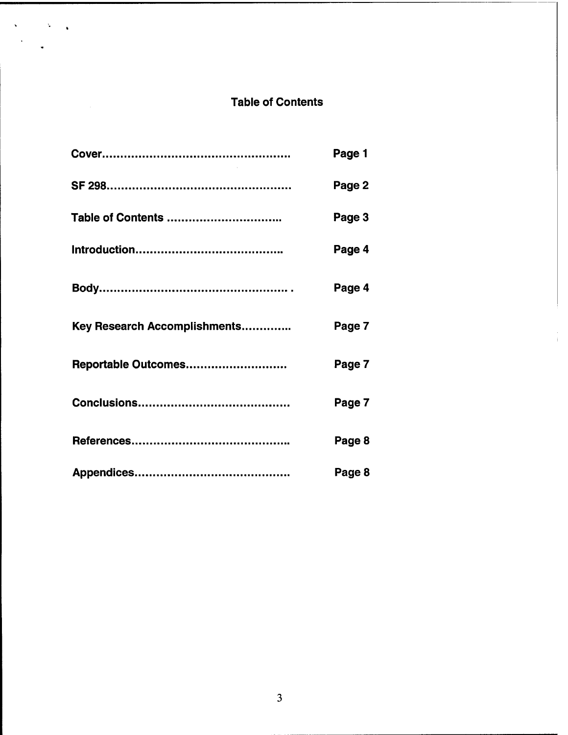# **Table of Contents**

 $\bar{1}$ 

|                              | Page 1 |
|------------------------------|--------|
|                              | Page 2 |
| Table of Contents            | Page 3 |
|                              | Page 4 |
|                              | Page 4 |
| Key Research Accomplishments | Page 7 |
| Reportable Outcomes          | Page 7 |
|                              | Page 7 |
|                              | Page 8 |
|                              | Page 8 |

 $\mathbf{x} = \left\{ \mathbf{x} \in \mathbb{R} \right\}$ 

 $\ddot{\phantom{0}}$ 

 $\hat{A}$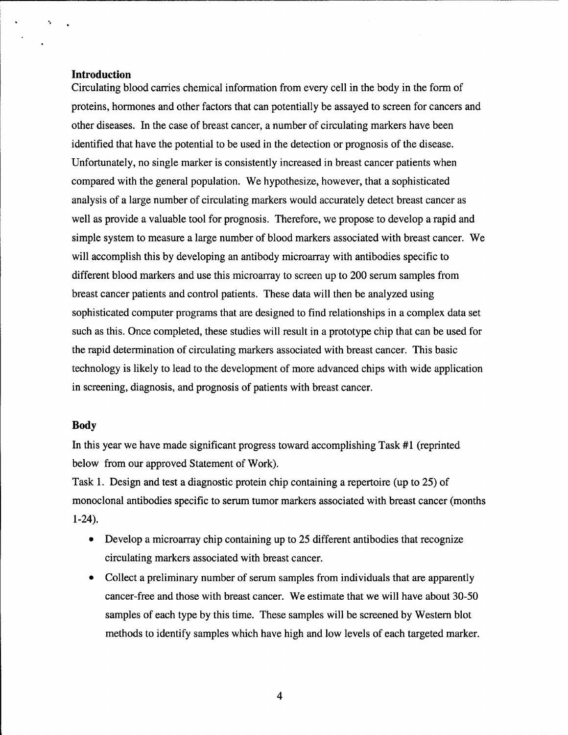#### **Introduction**

Circulating blood carries chemical information from every cell in the body in the form of proteins, hormones and other factors that can potentially be assayed to screen for cancers and other diseases. In the case of breast cancer, a number of circulating markers have been identified that have the potential to be used in the detection or prognosis of the disease. Unfortunately, no single marker is consistently increased in breast cancer patients when compared with the general population. We hypothesize, however, that a sophisticated analysis of a large number of circulating markers would accurately detect breast cancer as well as provide a valuable tool for prognosis. Therefore, we propose to develop a rapid and simple system to measure a large number of blood markers associated with breast cancer. We will accomplish this by developing an antibody microarray with antibodies specific to different blood markers and use this microarray to screen up to 200 serum samples from breast cancer patients and control patients. These data will then be analyzed using sophisticated computer programs that are designed to find relationships in a complex data set such as this. Once completed, these studies will result in a prototype chip that can be used for the rapid determination of circulating markers associated with breast cancer. This basic technology is likely to lead to the development of more advanced chips with wide application in screening, diagnosis, and prognosis of patients with breast cancer.

#### **Body**

In this year we have made significant progress toward accomplishing Task #1 (reprinted below from our approved Statement of Work).

Task 1. Design and test a diagnostic protein chip containing a repertoire (up to 25) of monoclonal antibodies specific to serum tumor markers associated with breast cancer (months 1-24).

- Develop a microarray chip containing up to 25 different antibodies that recognize circulating markers associated with breast cancer.
- Collect a preliminary number of serum samples from individuals that are apparently cancer-free and those with breast cancer. We estimate that we will have about 30-50 samples of each type by this time. These samples will be screened by Western blot methods to identify samples which have high and low levels of each targeted marker.

4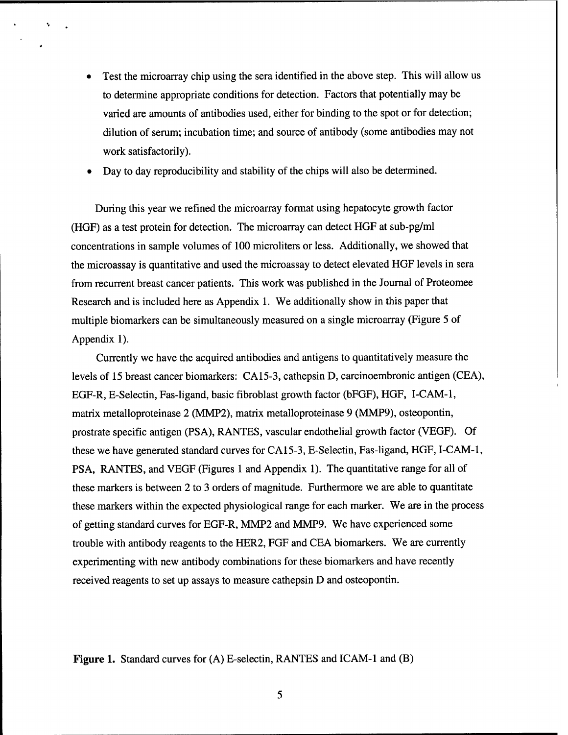• Test the microarray chip using the sera identified in the above step. This will allow us to determine appropriate conditions for detection. Factors that potentially may be varied are amounts of antibodies used, either for binding to the spot or for detection; dilution of serum; incubation time; and source of antibody (some antibodies may not work satisfactorily).

• Day to day reproducibility and stability of the chips will also be determined.

During this year we refined the microarray format using hepatocyte growth factor (HGF) as a test protein for detection. The microarray can detect HGF at sub-pg/ml concentrations in sample volumes of 100 microliters or less. Additionally, we showed that the microassay is quantitative and used the microassay to detect elevated HGF levels in sera from recurrent breast cancer patients. This work was published in the Journal of Proteomee Research and is included here as Appendix 1. We additionally show in this paper that multiple biomarkers can be simultaneously measured on a single microarray (Figure 5 of Appendix 1).

Currently we have the acquired antibodies and antigens to quantitatively measure the levels of 15 breast cancer biomarkers: CA15-3, cathepsin D, carcinoembronic antigen (CEA), EGF-R, E-Selectin, Fas-ligand, basic fibroblast growth factor (bFGF), HGF, I-CAM-1, matrix metalloproteinase 2 (MMP2), matrix metalloproteinase 9 (MMP9), osteopontin, prostrate specific antigen (PSA), RANTES, vascular endothelial growth factor (VEGF). Of these we have generated standard curves for CA15-3, E-Selectin, Fas-ligand, HGF, I-CAM-1, PSA, RANTES, and VEGF (Figures <sup>1</sup> and Appendix 1). The quantitative range for all of these markers is between 2 to 3 orders of magnitude. Furthermore we are able to quantitate these markers within the expected physiological range for each marker. We are in the process of getting standard curves for EGF-R, MMP2 and MMP9. We have experienced some trouble with antibody reagents to the HER2, FGF and CEA biomarkers. We are currently experimenting with new antibody combinations for these biomarkers and have recently received reagents to set up assays to measure cathepsin D and osteopontin.

**Figure 1.** Standard curves for (A) E-selectin, RANTES and ICAM-1 and (B)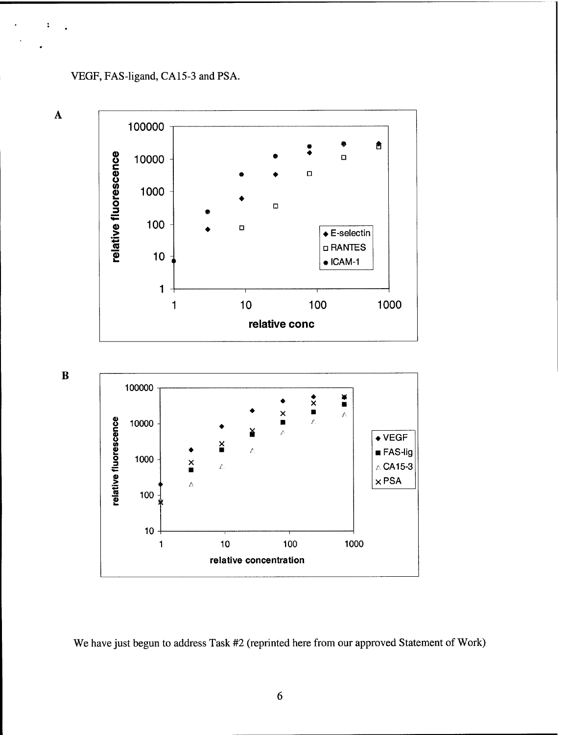

÷



We have just begun to address Task #2 (reprinted here from our approved Statement of Work)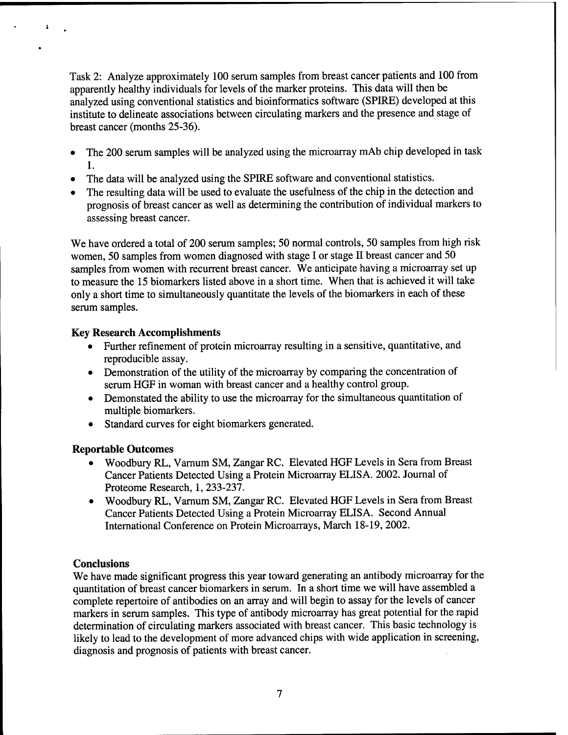Task 2: Analyze approximately 100 serum samples from breast cancer patients and 100 from apparently healthy individuals for levels of the marker proteins. This data will then be analyzed using conventional statistics and bioinformatics software (SPIRE) developed at this institute to delineate associations between circulating markers and the presence and stage of breast cancer (months 25-36).

- The 200 serum samples will be analyzed using the microarray mAb chip developed in task 1.
- The data will be analyzed using the SPIRE software and conventional statistics.
- The resulting data will be used to evaluate the usefulness of the chip in the detection and prognosis of breast cancer as well as determining the contribution of individual markers to assessing breast cancer.

We have ordered a total of 200 serum samples; 50 normal controls, 50 samples from high risk women, 50 samples from women diagnosed with stage I or stage II breast cancer and 50 samples from women with recurrent breast cancer. We anticipate having a microarray set up to measure the 15 biomarkers listed above in a short time. When that is achieved it will take only a short time to simultaneously quantitate the levels of the biomarkers in each of these serum samples.

### **Key Research Accomplishments**

 $\boldsymbol{z}$ 

- Further refinement of protein microarray resulting in a sensitive, quantitative, and reproducible assay.
- Demonstration of the utility of the microarray by comparing the concentration of serum HGF in woman with breast cancer and a healthy control group.
- Demonstated the ability to use the microarray for the simultaneous quantitation of multiple biomarkers.
- Standard curves for eight biomarkers generated.

#### **Reportable Outcomes**

- Woodbury RL, Varnum SM, Zangar RC. Elevated HGF Levels in Sera from Breast Cancer Patients Detected Using a Protein Microarray ELISA. 2002. Journal of Proteome Research, 1, 233-237.
- Woodbury RL, Varnum SM, Zangar RC. Elevated HGF Levels in Sera from Breast Cancer Patients Detected Using a Protein Microarray ELISA. Second Annual International Conference on Protein Microarrays, March 18-19, 2002.

## **Conclusions**

We have made significant progress this year toward generating an antibody microarray for the quantitation of breast cancer biomarkers in serum. In a short time we will have assembled a complete repertoire of antibodies on an array and will begin to assay for the levels of cancer markers in serum samples. This type of antibody microarray has great potential for the rapid determination of circulating markers associated with breast cancer. This basic technology is likely to lead to the development of more advanced chips with wide application in screening, diagnosis and prognosis of patients with breast cancer.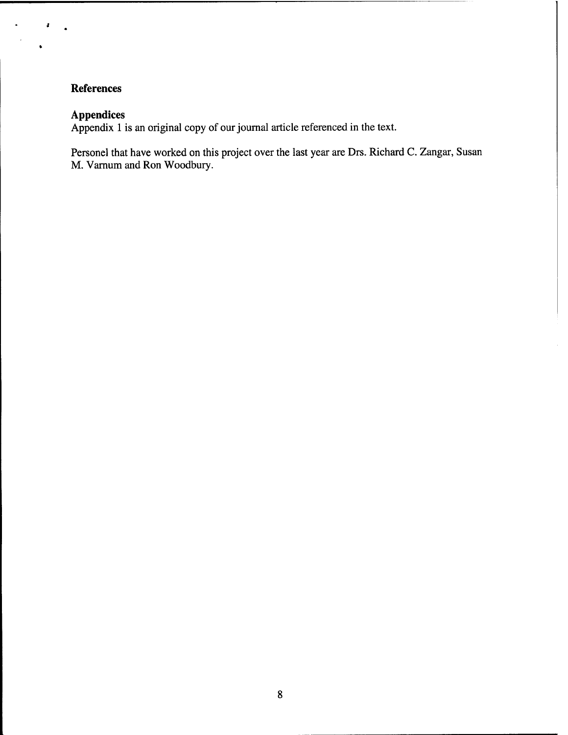## **References**

 $\pmb{\mathcal{L}}$ 

# **Appendices**

Appendix <sup>1</sup> is an original copy of ourjournal article referenced in the text.

Personel that have worked on this project over the last year are Drs. Richard C. Zangar, Susan M. Varnum and Ron Woodbury.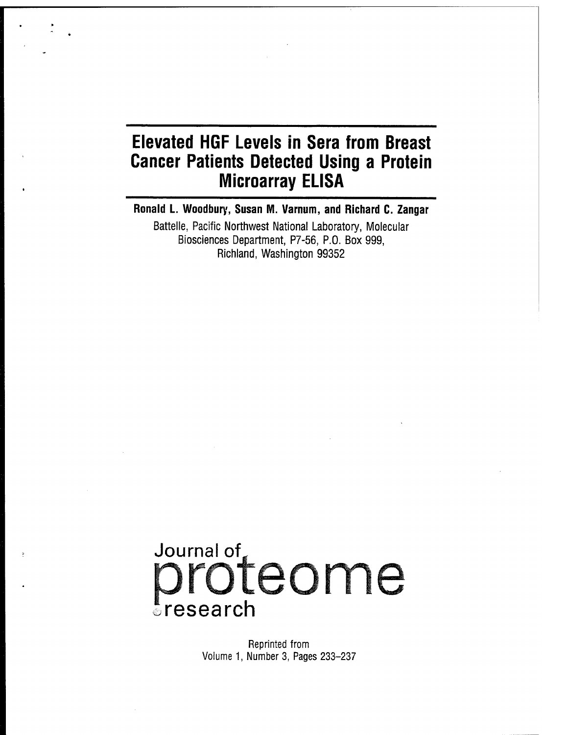# **Elevated HGF Levels in Sera from Breast Cancer Patients Detected Using a Protein Microarray ELISA**

**Ronald L. Woodbury, Susan M. Vamum, and Richard C. Zangar**

Battelle, Pacific Northwest National Laboratory, Molecular Biosciences Department, P7-56, P.O. Box 999, Richland, Washington 99352



Reprinted from Volume 1, Number 3, Pages 233-237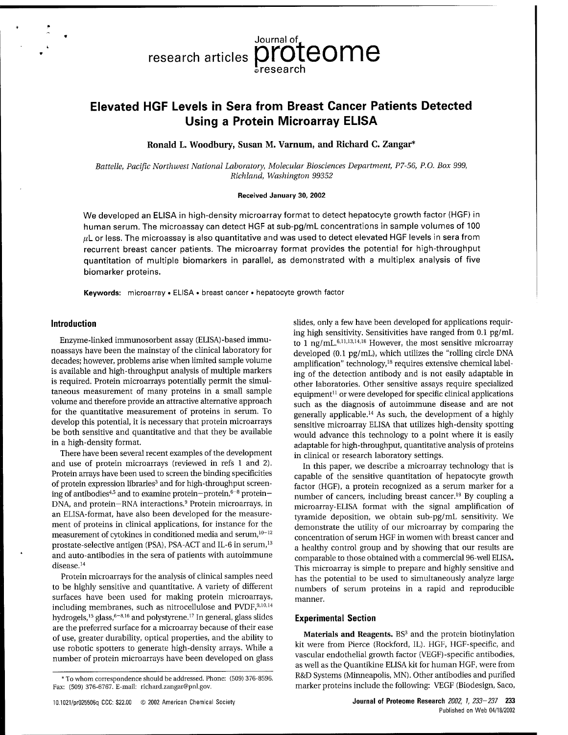research articles  $\mathsf{proteome}$ 

# **Elevated HGF Levels in Sera from Breast Cancer Patients Detected Using a Protein Microarray ELISA**

Journal of.

**©research**

**Ronald L. Woodbury, Susan M. Varnum, and Richard C. Zangar\***

*Battelle, Pacific Northwest National Laboratory, Molecular Biosciences Department, P7-56, P.O. Box 999, Richland, Washington 99352*

#### **Received January 30, 2002**

We developed an ELISA in high-density microarray format to detect hepatocyte growth factor (HGF) in human serum. The microassay can detect HGF at sub-pg/mL concentrations in sample volumes of 100 *ßl* or less. The microassay is also quantitative and was used to detect elevated HGF levels in sera from recurrent breast cancer patients. The microarray format provides the potential for high-throughput quantitation of multiple biomarkers in parallel, as demonstrated with a multiplex analysis of five biomarker proteins.

**Keywords:** microarray • ELISA • breast cancer • hepatocyte growth factor

#### **Introduction**

Enzyme-linked immunosorbent assay (ELISA)-based immunoassays have been the mainstay of the clinical laboratory for decades; however, problems arise when limited sample volume is available and high-throughput analysis of multiple markers is required. Protein microarrays potentially permit the simultaneous measurement of many proteins in a small sample volume and therefore provide an attractive alternative approach for the quantitative measurement of proteins in serum. To develop this potential, it is necessary that protein microarrays be both sensitive and quantitative and that they be available in a high-density format.

There have been several recent examples of the development and use of protein microarrays (reviewed in refs <sup>1</sup> and 2). Protein arrays have been used to screen the binding specificities of protein expression libraries<sup>3</sup> and for high-throughput screening of antibodies<sup>4,5</sup> and to examine protein-protein,  $6-8$  protein-DNA, and protein-RNA interactions.<sup>9</sup> Protein microarrays, in an ELISA-format, have also been developed for the measurement of proteins in clinical applications, for instance for the measurement of cytokines in conditioned media and serum, $^{10-12}$ prostate-selective antigen (PSA), PSA-ACT and IL-6 in serum,<sup>13</sup> and auto-antibodies in the sera of patients with autoimmune disease.<sup>14</sup>

Protein microarrays for the analysis of clinical samples need to be highly sensitive and quantitative. A variety of different surfaces have been used for making protein microarrays, including membranes, such as nitrocellulose and PVDF, 9,10,14 hydrogels,<sup>15</sup> glass,<sup>6-8,16</sup> and polystyrene.<sup>17</sup> In general, glass slides are the preferred surface for a microarray because of their ease of use, greater durability, optical properties, and the ability to use robotic spotters to generate high-density arrays. While a number of protein microarrays have been developed on glass slides, only a few have been developed for applications requiring high sensitivity. Sensitivities have ranged from 0.1 pg/mL to 1 ng/mL.<sup>6,11,13,14,18</sup> However, the most sensitive microarray developed (0.1 pg/mL), which utilizes the "rolling circle DNA amplification" technology,<sup>18</sup> requires extensive chemical labeling of the detection antibody and is not easily adaptable in other laboratories. Other sensitive assays require specialized equipment $11$  or were developed for specific clinical applications such as the diagnosis of autoimmune disease and are not generally applicable.<sup>14</sup> As such, the development of a highly sensitive microarray ELISA that utilizes high-density spotting would advance this technology to a point where it is easily adaptable for high-throughput, quantitative analysis of proteins in clinical or research laboratory settings.

In this paper, we describe a microarray technology that is capable of the sensitive quantitation of hepatocyte growth factor (HGF), a protein recognized as a serum marker for a number of cancers, including breast cancer.<sup>19</sup> By coupling a microarray-ELISA format with the signal amplification of tyramide deposition, we obtain sub-pg/mL sensitivity. We demonstrate the utility of our microarray by comparing the concentration of serum HGF in women with breast cancer and a healthy control group and by showing that our results are comparable to those obtained with a commercial 96-well ELISA. This microarray is simple to prepare and highly sensitive and has the potential to be used to simultaneously analyze large numbers of serum proteins in a rapid and reproducible manner.

#### **Experimental Section**

**Materials and Reagents.** BS<sup>3</sup> and the protein biotinylation kit were from Pierce (Rockford, IL). HGF, HGF-specific, and vascular endothelial growth factor (VEGF)-specific antibodies, as well as the Quantikine ELISA kit for human HGF, were from R&D Systems (Minneapolis, MN). Other antibodies and purified marker proteins include the following: VEGF (Biodesign, Saco,

<sup>\*</sup> To whom correspondence should be addressed. Phone: (509) 376-8596. Fax: (509) 376-6767. E-mail: richard.zangar@pnl.gov.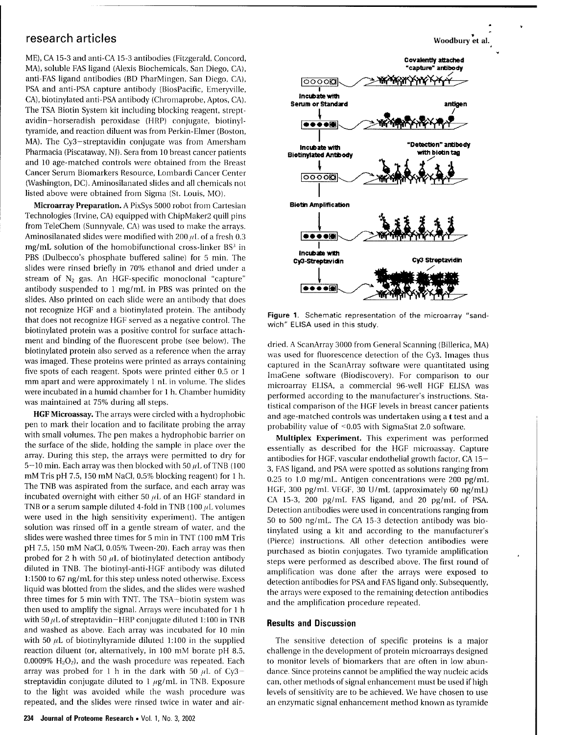ME), CA 15-3 and anti-CA 15-3 antibodies (Fitzgerald, Concord, MA), soluble FAS ligand (Alexis Biochemicals, San Diego, CA), anti-FAS ligand antibodies (BD PharMingen, San Diego, CA), PSA and anti-PSA capture antibody (BiosPacific, Emeryville, CA), biotinylated anti-PSA antibody (Chromaprobe, Aptos, CA). The TSA Biotin System kit including blocking reagent, streptavidin-horseradish peroxidase (MRP) conjugate, biotinyltyramide, and reaction diluent was from Perkin-Elmer (Boston, MA). The Cy3-streptavidin conjugate was from Amersham Pharmacia (Piscataway, NJ). Sera from 10 breast cancer patients and 10 age-matched controls were obtained from the Breast Cancer Serum Biomarkers Resource, Lombardi Cancer Center (Washington, DC). Aminosilanated slides and all chemicals not listed above were obtained from Sigma (St. Louis, MO).

**Microarray Preparation.** A PixSys 5000 robot from Cartesian Technologies (Irvine, CA) equipped with ChipMaker2 quill pins from TeleChem (Sunnyvale, CA) was used to make the arrays. Aminosilanated slides were modified with 200  $u$ L of a fresh 0.3  $mg/mL$  solution of the homobifunctional cross-linker BS<sup>3</sup> in PBS (Dulbecco's phosphate buffered saline) for 5 min. The slides were rinsed briefly in 70% ethanol and dried under a stream of  $N_2$  gas. An HGF-specific monoclonal "capture" antibody suspended to <sup>1</sup> mg/mL in PBS was printed on the slides. Also printed on each slide were an antibody that does not recognize HGF and a biotinylated protein. The antibody that does not recognize HGF served as a negative control. The biotinylated protein was a positive control for surface attachment and binding of the fluorescent probe (see below). The biotinylated protein also served as a reference when the array was imaged. These proteins were printed as arrays containing five spots of each reagent. Spots were printed either 0.5 or <sup>1</sup> mm apart and were approximately <sup>1</sup> nL in volume. The slides were incubated in a humid chamber for <sup>1</sup> h. Chamber humidity was maintained at 75% during all steps.

**HGF Microassay.** The arrays were circled with a hydrophobic pen to mark their location and to facilitate probing the array with small volumes. The pen makes a hydrophobic barrier on the surface of the slide, holding the sample in place over the array. During this step, the arrays were permitted to dry for 5-10 min. Each array was then blocked with 50  $\mu$ L of TNB (100 mM Tris pH 7.5, 150 mM NaCl, 0.5% blocking reagent) for <sup>1</sup> h. The TNB was aspirated from the surface, and each array was incubated overnight with either 50  $\mu$ L of an HGF standard in TNB or a serum sample diluted 4-fold in TNB (100  $\mu$ L volumes were used in the high sensitivity experiment). The antigen solution was rinsed off in a gentle stream of water, and the slides were washed three times for 5 min in TNT (100 mM Tris pH 7.5, 150 mM NaCl, 0.05% Tween-20). Each array was then probed for 2 h with 50 *uL* of biotinylated detection antibody diluted in TNB. The biotinyl-anti-HGF antibody was diluted 1:1500 to 67 ng/mL for this step unless noted otherwise. Excess liquid was blotted from the slides, and the slides were washed three times for 5 min with TNT. The TSA—biotin system was then used to amplify the signal. Arrays were incubated for <sup>1</sup> h with 50  $\mu$ L of streptavidin-HRP conjugate diluted 1:100 in TNB and washed as above. Each array was incubated for 10 min with 50  $\mu$ L of biotinyltyramide diluted 1:100 in the supplied reaction diluent (or, alternatively, in 100 mM borate pH 8.5, 0.0009%  $H_2O_2$ , and the wash procedure was repeated. Each array was probed for <sup>1</sup> h in the dark with 50 *uL* of Cy3 streptavidin conjugate diluted to 1  $\mu$ g/mL in TNB. Exposure to the light was avoided while the wash procedure was repeated, and the slides were rinsed twice in water and air-



**Figure 1.** Schematic representation of the microarray "sandwich" ELISA used in this study.

dried. A ScanArray 3000 from General Scanning (Billerica, MA) was used for fluorescence detection of the Cy3. Images thus captured in the ScanArray software were quantitated using ImaGene software (Biodiscovery). For comparison to our microarray ELISA, a commercial 96-well HGF ELISA was performed according to the manufacturer's instructions. Statistical comparison of the HGF levels in breast cancer patients and age-matched controls was undertaken using a **t** test and a probability value of <0.05 with SigmaStat 2.0 software.

**Multiplex Experiment.** This experiment was performed essentially as described for the HGF microassay. Capture antibodies for HGF, vascular endothelial growth factor, CA 15— 3, FAS ligand, and PSA were spotted as solutions ranging from 0.25 to 1.0 mg/mL. Antigen concentrations were 200 pg/mL HGF, 300 pg/mL VEGF, 30 U/mL (approximately 60 ng/mL) CA 15-3, 200 pg/mL FAS ligand, and 20 pg/mL of PSA. Detection antibodies were used in concentrations ranging from 50 to 500 ng/mL. The CA 15-3 detection antibody was biotinylated using a kit and according to the manufacturer's (Pierce) instructions. All other detection antibodies were purchased as biotin conjugates. Two tyramide amplification steps were performed as described above. The first round of amplification was done after the arrays were exposed to detection antibodies for PSA and FAS ligand only. Subsequently, the arrays were exposed to the remaining detection antibodies and the amplification procedure repeated.

#### Results and Discussion

The sensitive detection of specific proteins is a major challenge in the development of protein microarrays designed to monitor levels of biomarkers that are often in low abundance. Since proteins cannot be amplified the way nucleic acids can, other methods of signal enhancement must be used if high levels of sensitivity are to be achieved. We have chosen to use an enzymatic signal enhancement method known as tyramide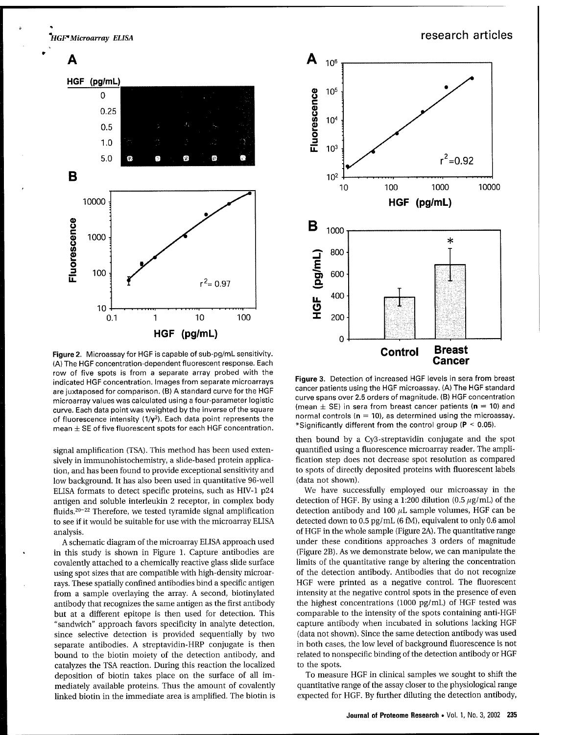*HGF\*Microarray ELISA*



**Figure 2.** Microassay for HGF is capable of sub-pg/mL sensitivity. (A) The HGF concentration-dependent fluorescent response. Each row of five spots is from a separate array probed with the indicated HGF concentration. Images from separate microarrays are juxtaposed for comparison. (B) A standard curve for the HGF microarray values was calculated using a four-parameter logistic curve. Each data point was weighted by the inverse of the square of fluorescence intensity (1/y<sup>2</sup>). Each data point represents the mean  $\pm$  SE of five fluorescent spots for each HGF concentration.

signal amplification (TSA). This method has been used extensively in immunohistochemistry, a slide-based protein application, and has been found to provide exceptional sensitivity and low background. It has also been used in quantitative 96-well ELISA formats to detect specific proteins, such as HIV-1 p24 antigen and soluble interleukin 2 receptor, in complex body fluids.<sup>20-22</sup> Therefore, we tested tyramide signal amplification to see if it would be suitable for use with the microarray ELISA analysis.

A schematic diagram of the microarray ELISA approach used in this study is shown in Figure 1. Capture antibodies are covalently attached to a chemically reactive glass slide surface using spot sizes that are compatible with high-density microarrays. These spatially confined antibodies bind a specific antigen from a sample overlaying the array. A second, biotinylated antibody that recognizes the same antigen as the first antibody but at a different epitope is then used for detection. This "sandwich" approach favors specificity in analyte detection, since selective detection is provided sequentially by two separate antibodies. A streptavidin-HRP conjugate is then bound to the biotin moiety of the detection antibody, and catalyzes the TSA reaction. During this reaction the localized deposition of biotin takes place on the surface of all immediately available proteins. Thus the amount of covalently linked biotin in the immediate area is amplified. The biotin is





**Figure 3.** Detection of increased HGF levels in sera from breast cancer patients using the HGF microassay. (A) The HGF standard curve spans over 2.5 orders of magnitude. (B) HGF concentration (mean  $\pm$  SE) in sera from breast cancer patients ( $n = 10$ ) and normal controls ( $n = 10$ ), as determined using the microassay. \*Significantly different from the control group ( $P < 0.05$ ).

then bound by a Cy3-streptavidin conjugate and the spot quantified using a fluorescence microarray reader. The amplification step does not decrease spot resolution as compared to spots of directly deposited proteins with fluorescent labels (data not shown).

We have successfully employed our microassay in the detection of HGF. By using a 1:200 dilution (0.5  $\mu$ g/mL) of the detection antibody and 100  $\mu$ L sample volumes, HGF can be detected down to 0.5 pg/mL (6 fM), equivalent to only 0.6 amol of HGF in the whole sample (Figure 2A). The quantitative range under these conditions approaches 3 orders of magnitude (Figure 2B). As we demonstrate below, we can manipulate the limits of the quantitative range by altering the concentration of the detection antibody. Antibodies that do not recognize HGF were printed as a negative control. The fluorescent intensity at the negative control spots in the presence of even the highest concentrations (1000 pg/mL) of HGF tested was comparable to the intensity of the spots containing anti-HGF capture antibody when incubated in solutions lacking HGF (data not shown). Since the same detection antibody was used in both cases, the low level of background fluorescence is not related to nonspecific binding of the detection antibody or HGF to the spots.

To measure HGF in clinical samples we sought to shift the quantitative range of the assay closer to the physiological range expected for HGF. By further diluting the detection antibody,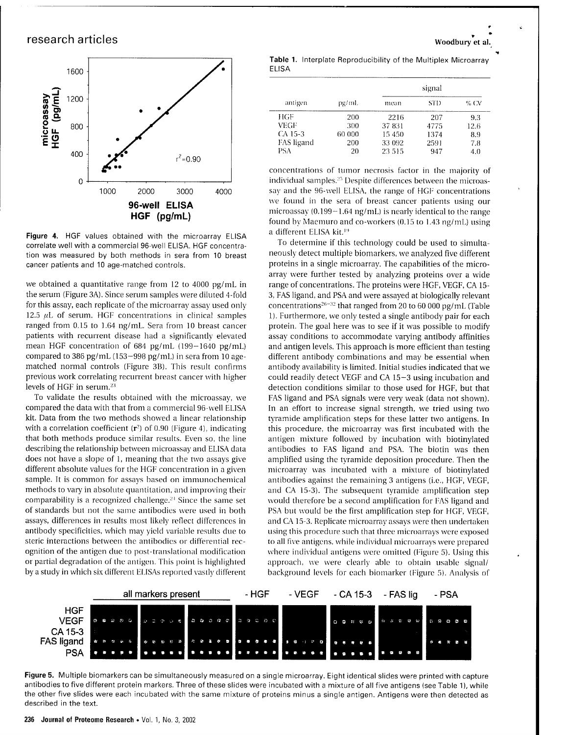### research articles when the contract of the contract of the contract of the contract of the contract of the contract of the contract of the contract of the contract of the contract of the contract of the contract of the con



**Figure 4.** HGF values obtained with the microarray ELISA correlate well with <sup>a</sup> commercial 96-well ELISA. HGF concentration was measured by both methods in sera from 10 breast cancer patients and 10 age-matched controls.

we obtained a quantitative range from 12 to 4000 pg/mL in the serum (Figure 3A). Since serum samples were diluted 4-fold for this assay, each replicate of the microarray assay used only 12.5  $\mu$ L of serum. HGF concentrations in clinical samples ranged from 0.15 to 1.64 ng/mL. Sera from 10 breast cancer patients with recurrent disease had a significantly elevated mean HGF concentration of 684 pg/mL (199-1640 pg/mL) compared to 386 pg/mL (153-998 pg/mL) in sera from 10 agematched normal controls (Figure 3B). This result confirms previous work correlating recurrent breast cancer with higher levels of HGF in serum.<sup>21</sup>

To validate the results obtained with the microassay, we compared the data with that from a commercial 96-well ELISA kit. Data from the two methods showed a linear relationship with a correlation coefficient  $(r^2)$  of 0.90 (Figure 4), indicating that both methods produce similar results. Even so, the line describing the relationship between microassay and ELISA data does not have a slope of 1, meaning that the two assays give different absolute values for the HGF concentration in a given sample. It is common for assays based on immunochemical methods to vary in absolute quantitation, and improving their comparability is a recognized challenge.<sup>24</sup> Since the same set of standards but not the same antibodies were used in both assays, differences in results most likely reflect differences in antibody specificities, which may yield variable results due to steric interactions between the antibodies or differential recognition of the antigen due to post-translational modification or partial degradation of the antigen. This point is highlighted by a study in which six different ELISAs reported vastly different

**Table 1.** Interplate Reproducibility of the Multiplex Microarray ELISA

| antigen    | pg/ml. | signal |      |      |
|------------|--------|--------|------|------|
|            |        | mean   | STD. | % CV |
| HGF        | 200    | 2216   | 207  | 9.3  |
| VEGF       | 300    | 37 831 | 4775 | 12.6 |
| $CA$ 15-3  | 60 000 | 15 450 | 1374 | 8.9  |
| FAS ligand | 200    | 33 092 | 2591 | 7.8  |
| PSA        | 20     | 23 515 | 947  | 4.0  |

concentrations of tumor necrosis factor in the majority of individual samples.<sup>25</sup> Despite differences between the microassay and the 96-well ELISA, the range of HGF concentrations we found in the sera of breast cancer patients using our microassay (0.199-1.64 ng/mL) is nearly identical to the range found by Maemuro and co-workers (0.15 to 1.43 ng/mL) using a different ELISA kit.<sup>19</sup>

To determine if this technology could be used to simultaneously detect multiple biomarkers, we analyzed five different proteins in a single microarray. The capabilities of the microarray were further tested by analyzing proteins over a wide range of concentrations. The proteins were HGF, VEGF, CA 15- 3, FAS ligand, and PSA and were assayed at biologically relevant  $\frac{1}{2}$  concentrations<sup>26-32</sup> that ranged from 20 to 60 000 pg/mL (Table 1). Furthermore, we only tested a single antibody pair for each protein. The goal here was to see if it was possible to modify assay conditions to accommodate varying antibody affinities and antigen levels. This approach is more efficient than testing different antibody combinations and may be essential when antibody availability is limited. Initial studies indicated that we could readily detect VEGF and CA 15-3 using incubation and detection conditions similar to those used for HGF, but that FAS ligand and PSA signals were very weak (data not shown). In an effort to increase signal strength, we tried using two tyramide amplification steps for these latter two antigens. In this procedure, the microarray was first incubated with the antigen mixture followed by incubation with biotinylated antibodies to FAS ligand and PSA. The biotin was then amplified using the tyramide deposition procedure. Then the microarray was incubated with a mixture of biotinylated antibodies against the remaining 3 antigens (i.e., HGF, VEGF, and CA 15-3). The subsequent tyramide amplification step would therefore be a second amplification for FAS ligand and PSA but would be the first amplification step for HGF, VEGF, and CA 15-3. Replicate microarray assays were then undertaken using this procedure such that three microarrays were exposed to all five antigens, while individual microarrays were prepared where individual antigens were omitted (Figure 5). Using this approach, we were clearly able to obtain usable signal/ background levels for each biomarker (Figure 5). Analysis of



**Figure** 5. Multiple biomarkers can be simultaneously measured on <sup>a</sup> single microarray. Eight identical slides were printed with capture antibodies to five different protein markers. Three of these slides were incubated with <sup>a</sup> mixture of all five antigens (see Table 1), while the other five slides were each incubated with the same mixture of proteins minus a single antigen. Antigens were then detected as described in the text.